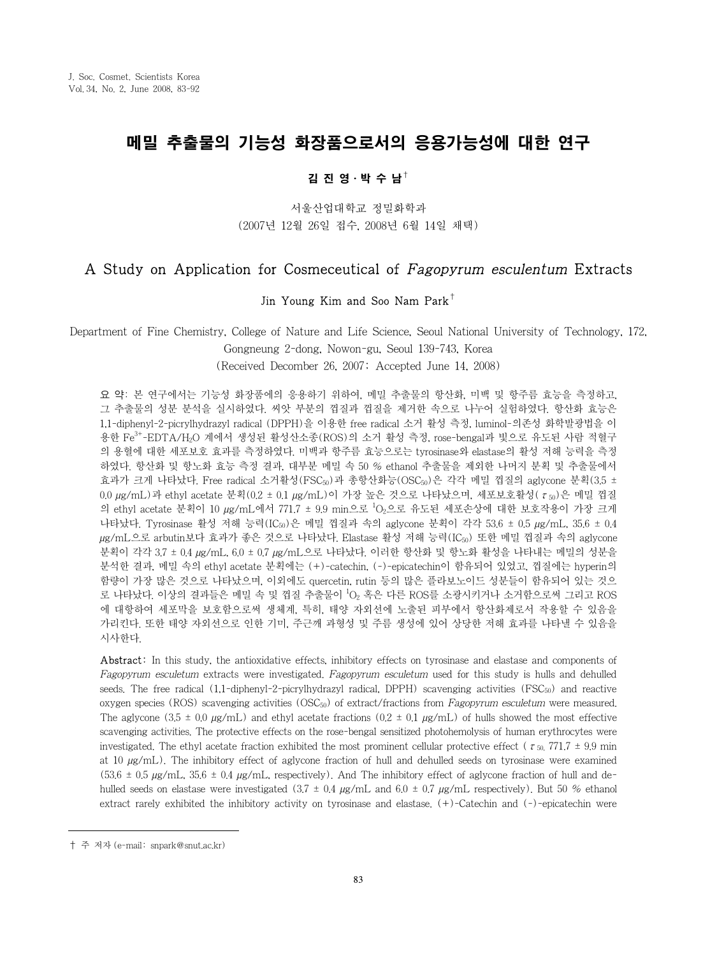# 메밀 추출물의 기능성 화장품으로서의 응용가능성에 대한 연구

### 김 진 영⋅박 수 남†

서울산업대학교 정밀화학과 (2007년 12월 26일 접수, 2008년 6월 14일 채택)

# A Study on Application for Cosmeceutical of Fagopyrum esculentum Extracts

#### Jin Young Kim and Soo Nam Park<sup>†</sup>

Department of Fine Chemistry, College of Nature and Life Science, Seoul National University of Technology, 172,

Gongneung 2-dong, Nowon-gu, Seoul 139-743, Korea (Received Decomber 26, 2007; Accepted June 14, 2008)

요 약: 본 연구에서는 기능성 화장품에의 응용하기 위하여, 메밀 추출물의 항산화, 미백 및 항주름 효능을 측정하고, 그 추출물의 성분 분석을 실시하였다. 씨앗 부분의 껍질과 껍질을 제거한 속으로 나누어 실험하였다. 항산화 효능은 1,1-diphenyl-2-picrylhydrazyl radical (DPPH)을 이용한 free radical 소거 활성 측정, luminol-의존성 화학발광법을 이 용한  $\rm Fe^{3+}$ -EDTA/H<sub>2</sub>O 계에서 생성된 활성산소종(ROS)의 소거 활성 측정, rose-bengal과 빛으로 유도된 사람 적혈구 의 용혈에 대한 세포보호 효과를 측정하였다. 미백과 항주름 효능으로는 tyrosinase와 elastase의 활성 저해 능력을 측정 하였다. 항산화 및 항노화 효능 측정 결과, 대부분 메밀 속 50 % ethanol 추출물을 제외한 나머지 분획 및 추출물에서 효과가 크게 나타났다. Free radical 소거활성(FSC $_{50}$ )과 총항산화능(OSC $_{50}$ )은 각각 메밀 껍질의 aglycone 분획(3.5 ±  $0.0 \mu$ g/mL)과 ethyl acetate 분획 $(0.2 \pm 0.1 \mu$ g/mL)이 가장 높은 것으로 나타났으며, 세포보호활성(τ<sub>50</sub>)은 메밀 껍질 의 ethyl acetate 분획이 10  $\mu$ g/mL에서 771.7 ± 9.9 min으로  $^1$ O<sub>2</sub>으로 유도된 세포손상에 대한 보호작용이 가장 크게 나타났다. Tyrosinase 활성 저해 능력(IC50)은 메밀 껍질과 속의 aglycone 분획이 각각 53.6 ± 0.5 µg/mL, 35.6 ± 0.4 μg/mL으로 arbutin보다 효과가 좋은 것으로 나타났다. Elastase 활성 저해 능력(IC<sub>50</sub>) 또한 메밀 껍질과 속의 aglycone 분획이 각각 3.7 ± 0.4 µg/mL, 6.0 ± 0.7 µg/mL으로 나타났다. 이러한 항산화 및 항노화 활성을 나타내는 메밀의 성분을 분석한 결과, 메밀 속의 ethyl acetate 분획에는 (+)-catechin, (-)-epicatechin이 함유되어 있었고, 껍질에는 hyperin의 함량이 가장 많은 것으로 나타났으며, 이외에도 quercetin, rutin 등의 많은 플라보노이드 성분들이 함유되어 있는 것으 로 나타났다. 이상의 결과들은 메밀 속 및 껍질 추출물이 <sup>1</sup>O<sub>2</sub> 혹은 다른 ROS를 소광시키거나 소거함으로써 그리고 ROS 에 대항하여 세포막을 보호함으로써 생체계, 특히, 태양 자외선에 노출된 피부에서 항산화제로서 작용할 수 있음을 가리킨다. 또한 태양 자외선으로 인한 기미, 주근깨 과형성 및 주름 생성에 있어 상당한 저해 효과를 나타낼 수 있음을 시사한다.

Abstract: In this study, the antioxidative effects, inhibitory effects on tyrosinase and elastase and components of Fagopyrum esculetum extracts were investigated. Fagopyrum esculetum used for this study is hulls and dehulled seeds. The free radical  $(1.1$ -diphenyl-2-picrylhydrazyl radical, DPPH) scavenging activities (FSC $_{50}$ ) and reactive oxygen species (ROS) scavenging activities  $(OSC<sub>50</sub>)$  of extract/fractions from Fagopyrum esculetum were measured. The aglycone (3.5  $\pm$  0.0  $\mu$ g/mL) and ethyl acetate fractions (0.2  $\pm$  0.1  $\mu$ g/mL) of hulls showed the most effective scavenging activities. The protective effects on the rose-bengal sensitized photohemolysis of human erythrocytes were investigated. The ethyl acetate fraction exhibited the most prominent cellular protective effect ( $\tau_{50}$ , 771.7  $\pm$  9.9 min at 10  $\mu$ g/mL). The inhibitory effect of aglycone fraction of hull and dehulled seeds on tyrosinase were examined  $(53.6 \pm 0.5 \text{ kg/mL}, 35.6 \pm 0.4 \text{ kg/mL},$  respectively). And The inhibitory effect of aglycone fraction of hull and dehulled seeds on elastase were investigated  $(3.7 \pm 0.4 \text{ µg/mL})$  and  $6.0 \pm 0.7 \text{ µg/mL}$  respectively). But 50 % ethanol extract rarely exhibited the inhibitory activity on tyrosinase and elastase. (+)-Catechin and (-)-epicatechin were

<sup>†</sup> 주 저자 (e-mail: snpark@snut.ac.kr)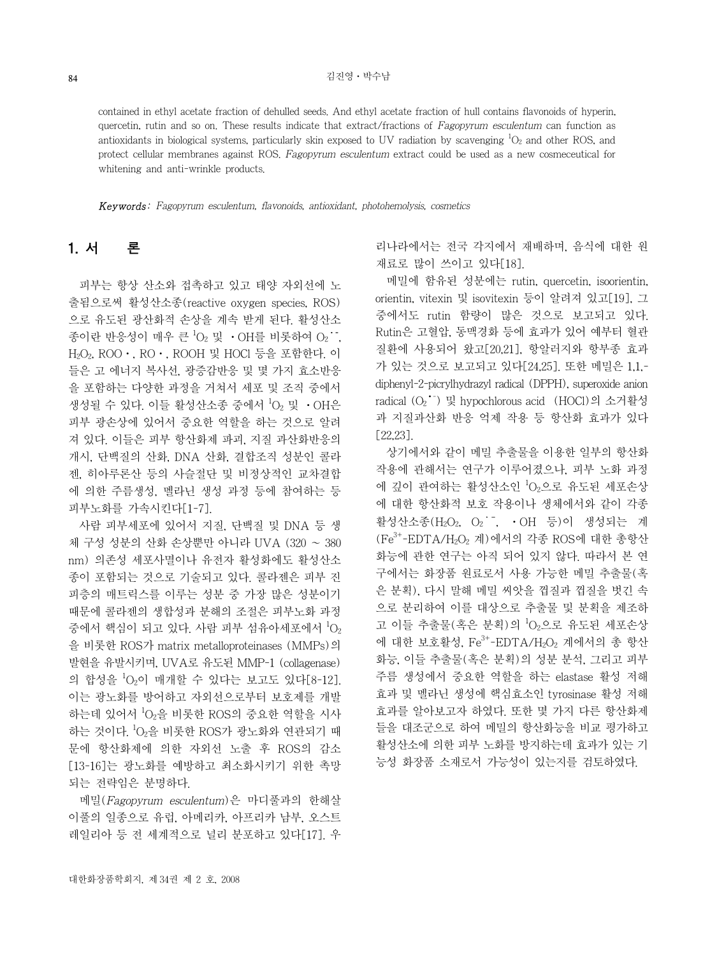contained in ethyl acetate fraction of dehulled seeds. And ethyl acetate fraction of hull contains flavonoids of hyperin, quercetin, rutin and so on. These results indicate that extract/fractions of Fagopyrum esculentum can function as antioxidants in biological systems, particularly skin exposed to UV radiation by scavenging  ${}^{1}O_{2}$  and other ROS, and protect cellular membranes against ROS. Fagopyrum esculentum extract could be used as a new cosmeceutical for whitening and anti-wrinkle products.

Keywords: Fagopyrum esculentum, flavonoids, antioxidant, photohemolysis, cosmetics

# 1. 서 론

 피부는 항상 산소와 접촉하고 있고 태양 자외선에 노 출됨으로써 활성산소종(reactive oxygen species, ROS) 으로 유도된 광산화적 손상을 계속 받게 된다. 활성산소 종이란 반응성이 매우 큰  $^1\mathrm{O}_2$  및 •OH를 비롯하여 O $_2$  ˙ , H2O2, ROO⋅, RO⋅, ROOH 및 HOCl 등을 포함한다. 이 들은 고 에너지 복사선, 광증감반응 및 몇 가지 효소반응 을 포함하는 다양한 과정을 거쳐서 세포 및 조직 중에서 생성될 수 있다. 이들 활성산소종 중에서  $^1\mathrm{O}_2$  및 •OH은 피부 광손상에 있어서 중요한 역할을 하는 것으로 알려 져 있다. 이들은 피부 항산화제 파괴, 지질 과산화반응의 개시, 단백질의 산화, DNA 산화, 결합조직 성분인 콜라 젠, 히아루론산 등의 사슬절단 및 비정상적인 교차결합 에 의한 주름생성, 멜라닌 생성 과정 등에 참여하는 등 피부노화를 가속시킨다[1-7].

 사람 피부세포에 있어서 지질, 단백질 및 DNA 등 생 체 구성 성분의 산화 손상뿐만 아니라 UVA (320 ~ 380 nm) 의존성 세포사멸이나 유전자 활성화에도 활성산소 종이 포함되는 것으로 기술되고 있다. 콜라젠은 피부 진 피층의 매트릭스를 이루는 성분 중 가장 많은 성분이기 때문에 콜라젠의 생합성과 분해의 조절은 피부노화 과정 중에서 핵심이 되고 있다. 사람 피부 섬유아세포에서  $^1\mathrm{O}_2$ 을 비롯한 ROS가 matrix metalloproteinases (MMPs)의 발현을 유발시키며, UVA로 유도된 MMP-1 (collagenase) 의 합성을 <sup>1</sup> O2이 매개할 수 있다는 보고도 있다[8-12]. 이는 광노화를 방어하고 자외선으로부터 보호제를 개발 하는데 있어서 <sup>1</sup>O<sub>2</sub>을 비롯한 ROS의 중요한 역할을 시사 하는 것이다.  $^1$ O<sub>2</sub>을 비롯한 ROS가 광노화와 연관되기 때 문에 항산화제에 의한 자외선 노출 후 ROS의 감소 [13-16]는 광노화를 예방하고 최소화시키기 위한 촉망 되는 전략임은 분명하다.

 메밀(Fagopyrum esculentum)은 마디풀과의 한해살 이풀의 일종으로 유럽, 아메리카, 아프리카 남부, 오스트 레일리아 등 전 세계적으로 널리 분포하고 있다[17]. 우

리나라에서는 전국 각지에서 재배하며, 음식에 대한 원 재료로 많이 쓰이고 있다[18].

 메밀에 함유된 성분에는 rutin, quercetin, isoorientin, orientin, vitexin 및 isovitexin 등이 알려져 있고[19], 그 중에서도 rutin 함량이 많은 것으로 보고되고 있다. Rutin은 고혈압, 동맥경화 등에 효과가 있어 예부터 혈관 질환에 사용되어 왔고[20,21], 항알러지와 항부종 효과 가 있는 것으로 보고되고 있다[24,25]. 또한 메밀은 1,1, diphenyl-2-picrylhydrazyl radical (DPPH), superoxide anion radical (O2 ¯) 및 hypochlorous acid (HOCl)의 소거활성 과 지질과산화 반응 억제 작용 등 항산화 효과가 있다 [22,23].

 상기에서와 같이 메밀 추출물을 이용한 일부의 항산화 작용에 관해서는 연구가 이루어졌으나, 피부 노화 과정 에 깊이 관여하는 활성산소인 <sup>1</sup> O2으로 유도된 세포손상 에 대한 항산화적 보호 작용이나 생체에서와 같이 각종 활성산소종 (H<sub>2</sub>O<sub>2</sub>, O<sub>2</sub> , OH 등)이 생성되는 계 (Fe<sup>3+</sup>-EDTA/H<sub>2</sub>O<sub>2</sub> 계)에서의 각종 ROS에 대한 총항산 화능에 관한 연구는 아직 되어 있지 않다. 따라서 본 연 구에서는 화장품 원료로서 사용 가능한 메밀 추출물(혹 은 분획), 다시 말해 메밀 씨앗을 껍질과 껍질을 벗긴 속 으로 분리하여 이를 대상으로 추출물 및 분획을 제조하 고 이들 추출물(혹은 분획)의 'O<sub>2</sub>으로 유도된 세포손상 에 대한 보호활성,  $Fe^{3+}$ -EDTA/H<sub>2</sub>O<sub>2</sub> 계에서의 총 항산 화능, 이들 추출물(혹은 분획)의 성분 분석, 그리고 피부 주름 생성에서 중요한 역할을 하는 elastase 활성 저해 효과 및 멜라닌 생성에 핵심효소인 tyrosinase 활성 저해 효과를 알아보고자 하였다. 또한 몇 가지 다른 항산화제 들을 대조군으로 하여 메밀의 항산화능을 비교 평가하고 활성산소에 의한 피부 노화를 방지하는데 효과가 있는 기 능성 화장품 소재로서 가능성이 있는지를 검토하였다.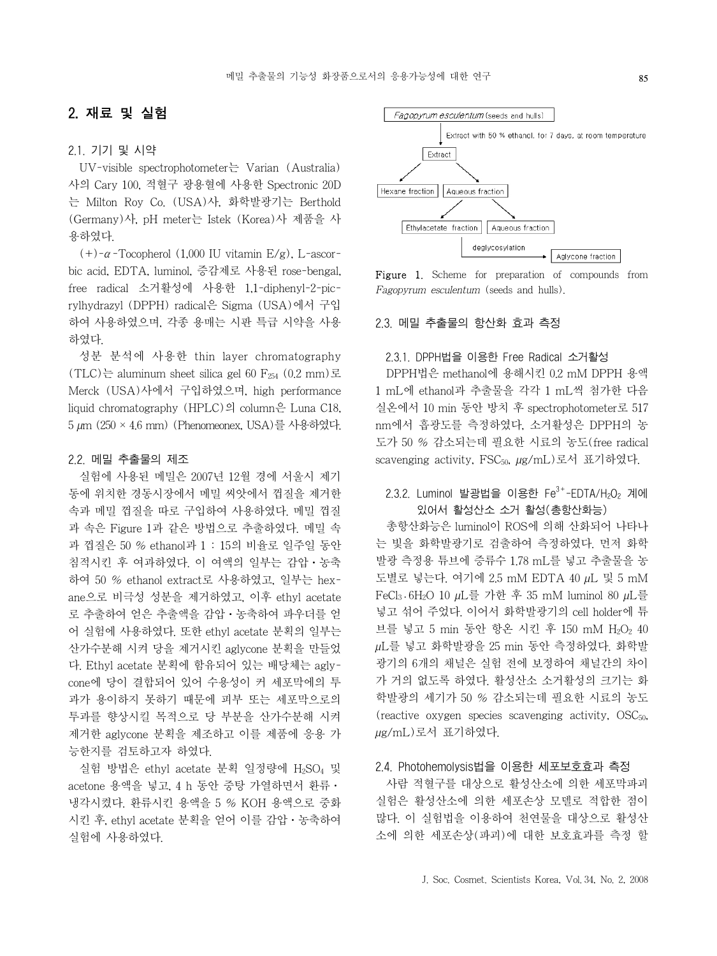## 2. 재료 및 실험

#### 2.1. 기기 및 시약

 UV-visible spectrophotometer는 Varian (Australia) 사의 Cary 100, 적혈구 광용혈에 사용한 Spectronic 20D 는 Milton Roy Co. (USA)사, 화학발광기는 Berthold (Germany)사, pH meter는 Istek (Korea)사 제품을 사 용하였다.

(+)- $\alpha$ -Tocopherol (1,000 IU vitamin E/g), L-ascorbic acid, EDTA, luminol, 증감제로 사용된 rose-bengal, free radical 소거활성에 사용한 1,1-diphenyl-2-picrylhydrazyl (DPPH) radical은 Sigma (USA)에서 구입 하여 사용하였으며, 각종 용매는 시판 특급 시약을 사용 하였다.

 성분 분석에 사용한 thin layer chromatography (TLC)는 aluminum sheet silica gel 60 F<sub>254</sub> (0.2 mm)로 Merck (USA)사에서 구입하였으며, high performance liquid chromatography (HPLC)의 column은 Luna C18, 5 µm (250 × 4.6 mm) (Phenomeonex, USA)를 사용하였다.

#### 2.2. 메밀 추출물의 제조

 실험에 사용된 메밀은 2007년 12월 경에 서울시 제기 동에 위치한 경동시장에서 메밀 씨앗에서 껍질을 제거한 속과 메밀 껍질을 따로 구입하여 사용하였다. 메밀 껍질 과 속은 Figure 1과 같은 방법으로 추출하였다. 메밀 속 과 껍질은 50 % ethanol과 1 : 15의 비율로 일주일 동안 침적시킨 후 여과하였다. 이 여액의 일부는 감압⋅농축 하여 50 % ethanol extract로 사용하였고, 일부는 hexane으로 비극성 성분을 제거하였고, 이후 ethyl acetate 로 추출하여 얻은 추출액을 감압⋅농축하여 파우더를 얻 어 실험에 사용하였다. 또한 ethyl acetate 분획의 일부는 산가수분해 시켜 당을 제거시킨 aglycone 분획을 만들었 다. Ethyl acetate 분획에 함유되어 있는 배당체는 aglycone에 당이 결합되어 있어 수용성이 커 세포막에의 투 과가 용이하지 못하기 때문에 피부 또는 세포막으로의 투과를 향상시킬 목적으로 당 부분을 산가수분해 시켜 제거한 aglycone 분획을 제조하고 이를 제품에 응용 가 능한지를 검토하고자 하였다.

실험 방법은 ethyl acetate 분획 일정량에 H<sub>2</sub>SO<sub>4</sub> 및 acetone 용액을 넣고, 4 h 동안 중탕 가열하면서 환류ㆍ 냉각시켰다. 환류시킨 용액을 5 % KOH 용액으로 중화 시킨 후, ethyl acetate 분획을 얻어 이를 감압ㆍ농축하여 실험에 사용하였다.

Extract Hexane fraction Aqueous fraction Ethylacetate fraction Aqueous fraction deglycosylation Aglycone fraction

Figure 1. Scheme for preparation of compounds from Fagopyrum esculentum (seeds and hulls).

#### 2.3. 메밀 추출물의 항산화 효과 측정

Fagopyrum esculentum (seeds and hulls)

#### 2.3.1. DPPH법을 이용한 Free Radical 소거활성

 DPPH법은 methanol에 용해시킨 0.2 mM DPPH 용액 1 mL에 ethanol과 추출물을 각각 1 mL씩 첨가한 다음 실온에서 10 min 동안 방치 후 spectrophotometer로 517 nm에서 흡광도를 측정하였다, 소거활성은 DPPH의 농 도가 50 % 감소되는데 필요한 시료의 농도(free radical scavenging activity, FSC<sub>50</sub>, μg/mL)로서 표기하였다.

# 2.3.2. Luminol 발광법을 이용한  $Fe^{3+}-EDTA/H_2O_2$  계에 있어서 활성산소 소거 활성(총항산화능)

 총항산화능은 luminol이 ROS에 의해 산화되어 나타나 는 빛을 화학발광기로 검출하여 측정하였다. 먼저 화학 발광 측정용 튜브에 증류수 1.78 mL를 넣고 추출물을 농 도별로 넣는다. 여기에 2.5 mM EDTA 40 µL 및 5 mM FeCl3⋅6H2O 10 µL를 가한 후 35 mM luminol 80 µL를 넣고 섞어 주었다. 이어서 화학발광기의 cell holder에 튜 브를 넣고 5 min 동안 항온 시킨 후 150 mM H<sub>2</sub>O<sub>2</sub> 40 µL를 넣고 화학발광을 25 min 동안 측정하였다. 화학발 광기의 6개의 채널은 실험 전에 보정하여 채널간의 차이 가 거의 없도록 하였다. 활성산소 소거활성의 크기는 화 학발광의 세기가 50 % 감소되는데 필요한 시료의 농도 (reactive oxygen species scavenging activity, OSC50, µg/mL)로서 표기하였다.

#### 2.4. Photohemolysis법을 이용한 세포보호효과 측정

 사람 적혈구를 대상으로 활성산소에 의한 세포막파괴 실험은 활성산소에 의한 세포손상 모델로 적합한 점이 많다. 이 실험법을 이용하여 천연물을 대상으로 활성산 소에 의한 세포손상(파괴)에 대한 보호효과를 측정 할

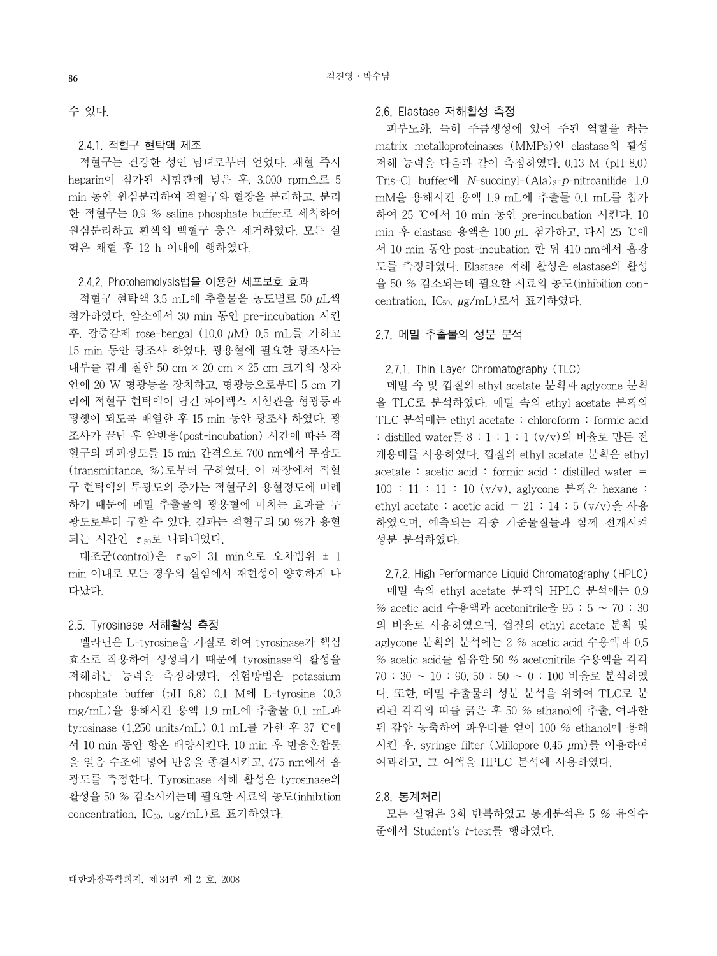수 있다.

2.4.1. 적혈구 현탁액 제조

 적혈구는 건강한 성인 남녀로부터 얻었다. 채혈 즉시 heparin이 첨가된 시험관에 넣은 후, 3,000 rpm으로 5 min 동안 원심분리하여 적혈구와 혈장을 분리하고, 분리 한 적혈구는 0.9 % saline phosphate buffer로 세척하여 원심분리하고 흰색의 백혈구 층은 제거하였다. 모든 실 험은 채혈 후 12 h 이내에 행하였다.

#### 2.4.2. Photohemolysis법을 이용한 세포보호 효과

 적혈구 현탁액 3.5 mL에 추출물을 농도별로 50 µL씩 첨가하였다. 암소에서 30 min 동안 pre-incubation 시킨 후, 광증감제 rose-bengal (10.0 µM) 0.5 mL를 가하고 15 min 동안 광조사 하였다. 광용혈에 필요한 광조사는 내부를 검게 칠한 50 cm × 20 cm × 25 cm 크기의 상자 안에 20 W 형광등을 장치하고, 형광등으로부터 5 cm 거 리에 적혈구 현탁액이 담긴 파이렉스 시험관을 형광등과 평행이 되도록 배열한 후 15 min 동안 광조사 하였다. 광 조사가 끝난 후 암반응(post-incubation) 시간에 따른 적 혈구의 파괴정도를 15 min 간격으로 700 nm에서 투광도 (transmittance, %)로부터 구하였다. 이 파장에서 적혈 구 현탁액의 투광도의 증가는 적혈구의 용혈정도에 비례 하기 때문에 메밀 추출물의 광용혈에 미치는 효과를 투 광도로부터 구할 수 있다. 결과는 적혈구의 50 %가 용혈 되는 시간인  $\tau$ <sub>50</sub>로 나타내었다.

대조군(control)은  $\tau_{50}$ 이 31 min으로 오차범위 ± 1 min 이내로 모든 경우의 실험에서 재현성이 양호하게 나 타났다.

### 2.5. Tyrosinase 저해활성 측정

 멜라닌은 L-tyrosine을 기질로 하여 tyrosinase가 핵심 효소로 작용하여 생성되기 때문에 tyrosinase의 활성을 저해하는 능력을 측정하였다. 실험방법은 potassium phosphate buffer (pH 6.8) 0.1 M에 L-tyrosine (0.3 mg/mL)을 용해시킨 용액 1.9 mL에 추출물 0.1 mL과 tyrosinase (1,250 units/mL) 0.1 mL를 가한 후 37 ℃에 서 10 min 동안 항온 배양시킨다. 10 min 후 반응혼합물 을 얼음 수조에 넣어 반응을 종결시키고, 475 nm에서 흡 광도를 측정한다. Tyrosinase 저해 활성은 tyrosinase의 활성을 50 % 감소시키는데 필요한 시료의 농도(inhibition concentration, IC<sub>50</sub>, ug/mL)로 표기하였다.

#### 2.6. Elastase 저해활성 측정

 피부노화, 특히 주름생성에 있어 주된 역할을 하는 matrix metalloproteinases (MMPs)인 elastase의 활성 저해 능력을 다음과 같이 측정하였다. 0.13 M (pH 8.0) Tris-Cl buffer에  $N$ -succinyl- $(Ala)_{3}$ - $p$ -nitroanilide 1.0 mM을 용해시킨 용액 1.9 mL에 추출물 0.1 mL를 첨가 하여 25 ℃에서 10 min 동안 pre-incubation 시킨다. 10 min 후 elastase 용액을 100 µL 첨가하고, 다시 25 ℃에 서 10 min 동안 post-incubation 한 뒤 410 nm에서 흡광 도를 측정하였다. Elastase 저해 활성은 elastase의 활성 을 50 % 감소되는데 필요한 시료의 농도(inhibition concentration, IC<sub>50</sub>, µg/mL)로서 표기하였다.

### 2.7. 메밀 추출물의 성분 분석

#### 2.7.1. Thin Layer Chromatography (TLC)

 메밀 속 및 껍질의 ethyl acetate 분획과 aglycone 분획 을 TLC로 분석하였다. 메밀 속의 ethyl acetate 분획의 TLC 분석에는 ethyl acetate : chloroform : formic acid : distilled water를 8 : 1 : 1 : 1 (v/v)의 비율로 만든 전 개용매를 사용하였다. 껍질의 ethyl acetate 분획은 ethyl acetate : acetic acid : formic acid : distilled water = 100 : 11 : 11 : 10 (v/v), aglycone 분획은 hexane : ethyl acetate : acetic acid =  $21 : 14 : 5 \frac{(v/v)}{2}$  사용 하였으며, 예측되는 각종 기준물질들과 함께 전개시켜 성분 분석하였다.

### 2.7.2. High Performance Liquid Chromatography (HPLC)

 메밀 속의 ethyl acetate 분획의 HPLC 분석에는 0.9  $%$  acetic acid 수용액과 acetonitrile을  $95:5 \sim 70:30$ 의 비율로 사용하였으며, 껍질의 ethyl acetate 분획 및 aglycone 분획의 분석에는 2 % acetic acid 수용액과 0.5 % acetic acid를 함유한 50 % acetonitrile 수용액을 각각 70 : 30 ~ 10 : 90, 50 : 50 ~ 0 : 100 비율로 분석하였 다. 또한, 메밀 추출물의 성분 분석을 위하여 TLC로 분 리된 각각의 띠를 긁은 후 50 % ethanol에 추출, 여과한 뒤 감압 농축하여 파우더를 얻어 100 % ethanol에 용해 시킨 후, syringe filter (Millopore 0.45 µm)를 이용하여 여과하고, 그 여액을 HPLC 분석에 사용하였다.

### 2.8. 통계처리

 모든 실험은 3회 반복하였고 통계분석은 5 % 유의수 준에서 Student's t-test를 행하였다.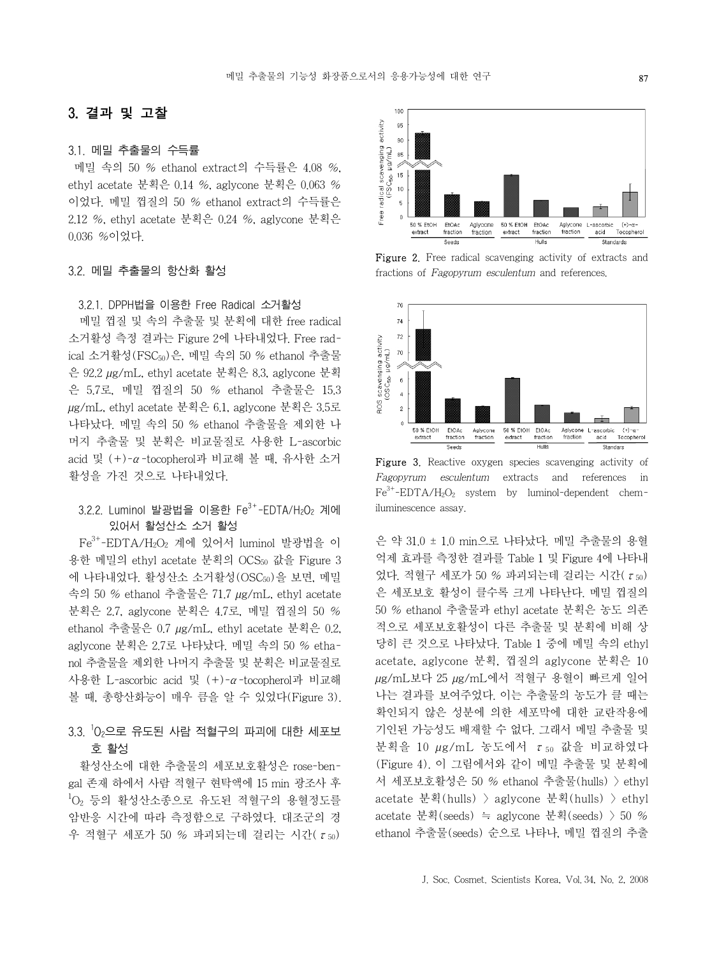### 3. 결과 및 고찰

#### 3.1. 메밀 추출물의 수득률

메밀 속의 50 % ethanol extract의 수득률은 4.08 %, ethyl acetate 분획은 0.14 %, aglycone 분획은 0.063 % 이었다. 메밀 껍질의 50 % ethanol extract의 수득률은 2.12 %, ethyl acetate 분획은 0.24 %, aglycone 분획은 0.036 %이었다.

### 3.2. 메밀 추출물의 항산화 활성

3.2.1. DPPH법을 이용한 Free Radical 소거활성

 메밀 껍질 및 속의 추출물 및 분획에 대한 free radical 소거활성 측정 결과는 Figure 2에 나타내었다. Free radical 소거활성(FSC<sub>50</sub>)은, 메밀 속의 50 % ethanol 추출물 은 92.2 µg/mL, ethyl acetate 분획은 8.3, aglycone 분획 은 5.7로, 메밀 껍질의 50 % ethanol 추출물은 15.3 µg/mL, ethyl acetate 분획은 6.1, aglycone 분획은 3.5로 나타났다. 메밀 속의 50 % ethanol 추출물을 제외한 나 머지 추출물 및 분획은 비교물질로 사용한 L-ascorbic acid 및 (+)-α-tocopherol과 비교해 볼 때, 유사한 소거 활성을 가진 것으로 나타내었다.

# $3.2.2$ . Luminol 발광법을 이용한 Fe $3+$ -EDTA/H<sub>2</sub>O<sub>2</sub> 계에 있어서 활성산소 소거 활성

 Fe3+-EDTA/H2O2 계에 있어서 luminol 발광법을 이 용한 메밀의 ethyl acetate 분획의 OCS50 값을 Figure 3 에 나타내었다. 활성산소 소거활성(OSC50)을 보면, 메밀 속의 50 % ethanol 추출물은 71.7 µg/mL, ethyl acetate 분획은 2.7, aglycone 분획은 4.7로, 메밀 껍질의 50 % ethanol 추출물은 0.7 µg/mL, ethyl acetate 분획은 0.2, aglycone 분획은 2.7로 나타났다. 메밀 속의 50 % ethanol 추출물을 제외한 나머지 추출물 및 분획은 비교물질로 사용한 L-ascorbic acid 및 (+)-α-tocopherol과 비교해 볼 때, 총항산화능이 매우 큼을 알 수 있었다(Figure 3).

# 3.3. <sup>1</sup>0<sub>2</sub>으로 유도된 사람 적혈구의 파괴에 대한 세포보 호 활성

 활성산소에 대한 추출물의 세포보호활성은 rose-bengal 존재 하에서 사람 적혈구 현탁액에 15 min 광조사 후 1 O2 등의 활성산소종으로 유도된 적혈구의 용혈정도를 암반응 시간에 따라 측정함으로 구하였다. 대조군의 경 우 적혈구 세포가 50 % 파괴되는데 걸리는 시간( $\tau_{50}$ )



Figure 2. Free radical scavenging activity of extracts and fractions of Fagopyrum esculentum and references.



Figure 3. Reactive oxygen species scavenging activity of Fagopyrum esculentum extracts and references in  $Fe<sup>3+</sup>-EDTA/H<sub>2</sub>O<sub>2</sub>$  system by luminol-dependent chemiluminescence assay.

은 약 31.0 ± 1.0 min으로 나타났다. 메밀 추출물의 용혈 억제 효과를 측정한 결과를 Table 1 및 Figure 4에 나타내 었다. 적혈구 세포가 50 % 파괴되는데 걸리는 시간( $\tau_{50}$ ) 은 세포보호 활성이 클수록 크게 나타난다. 메밀 껍질의 50 % ethanol 추출물과 ethyl acetate 분획은 농도 의존 적으로 세포보호활성이 다른 추출물 및 분획에 비해 상 당히 큰 것으로 나타났다. Table 1 중에 메밀 속의 ethyl acetate, aglycone 분획, 껍질의 aglycone 분획은 10 µg/mL보다 25 µg/mL에서 적혈구 용혈이 빠르게 일어 나는 결과를 보여주었다. 이는 추출물의 농도가 클 때는 확인되지 않은 성분에 의한 세포막에 대한 교란작용에 기인된 가능성도 배재할 수 없다. 그래서 메밀 추출물 및 분획을 10 μg/mL 농도에서 τ<sub>50</sub> 값을 비교하였다 (Figure 4). 이 그림에서와 같이 메밀 추출물 및 분획에 서 세포보호활성은 50 % ethanol 추출물(hulls) > ethyl acetate 분획(hulls) > aglycone 분획(hulls) > ethyl acetate 분획(seeds) ≒ aglycone 분획(seeds) > 50 % ethanol 추출물(seeds) 순으로 나타나, 메밀 껍질의 추출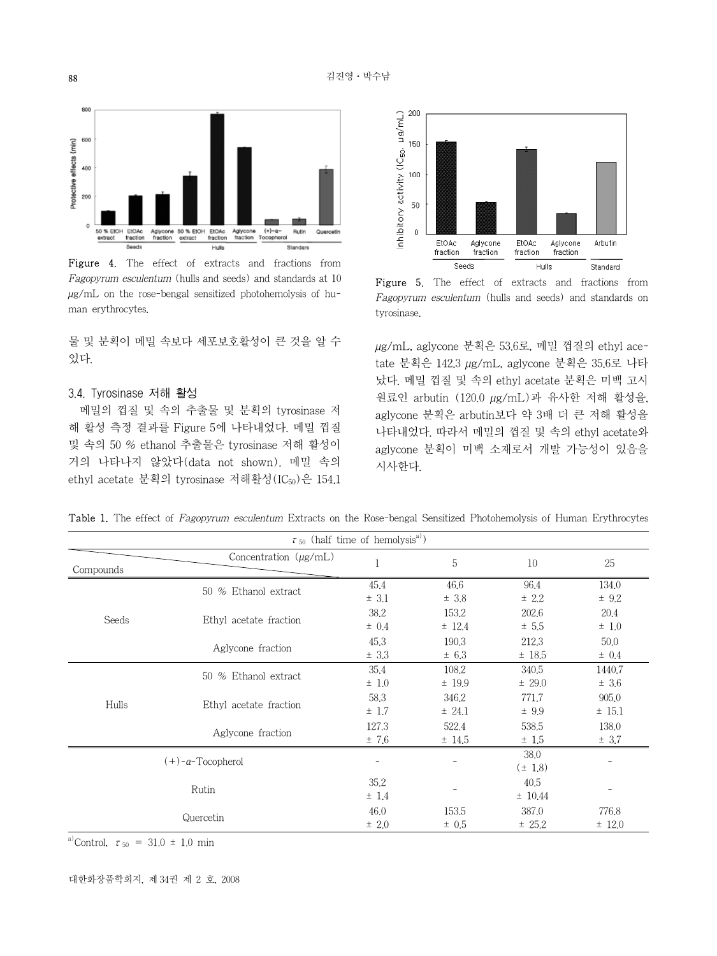

Figure 4. The effect of extracts and fractions from Fagopyrum esculentum (hulls and seeds) and standards at 10  $\mu$ g/mL on the rose-bengal sensitized photohemolysis of human erythrocytes.

물 및 분획이 메밀 속보다 세포보호활성이 큰 것을 알 수 있다.

### 3.4. Tyrosinase 저해 활성

 메밀의 껍질 및 속의 추출물 및 분획의 tyrosinase 저 해 활성 측정 결과를 Figure 5에 나타내었다. 메밀 껍질 및 속의 50 % ethanol 추출물은 tyrosinase 저해 활성이 거의 나타나지 않았다(data not shown). 메밀 속의 ethyl acetate 분획의 tyrosinase 저해활성(IC<sub>50</sub>)은 154.1



Figure 5. The effect of extracts and fractions from Fagopyrum esculentum (hulls and seeds) and standards on tyrosinase.

µg/mL, aglycone 분획은 53.6로, 메밀 껍질의 ethyl acetate 분획은 142.3 µg/mL, aglycone 분획은 35.6로 나타 났다. 메밀 껍질 및 속의 ethyl acetate 분획은 미백 고시 원료인 arbutin (120.0 µg/mL)과 유사한 저해 활성을, aglycone 분획은 arbutin보다 약 3배 더 큰 저해 활성을 나타내었다. 따라서 메밀의 껍질 및 속의 ethyl acetate와 aglycone 분획이 미백 소재로서 개발 가능성이 있음을 시사한다.

Table 1. The effect of Fagopyrum esculentum Extracts on the Rose-bengal Sensitized Photohemolysis of Human Erythrocytes

| $\tau_{50}$ (half time of hemolysis <sup>a)</sup> ) |                            |                   |                    |                     |                   |
|-----------------------------------------------------|----------------------------|-------------------|--------------------|---------------------|-------------------|
| Compounds                                           | Concentration $(\mu g/mL)$ |                   | 5                  | 10                  | 25                |
| Seeds                                               | 50 % Ethanol extract       | 45.4<br>± 3.1     | 46.6<br>± 3.8      | 96.4<br>± 2.2       | 134.0<br>± 9.2    |
|                                                     | Ethyl acetate fraction     | 38.2<br>$\pm$ 0.4 | 153.2<br>± 12.4    | 202.6<br>± 5.5      | 20.4<br>$\pm$ 1.0 |
|                                                     | Aglycone fraction          | 45.3<br>± 3.3     | 190.3<br>$\pm$ 6.3 | 212.3<br>$±$ 18.5   | 50.0<br>$\pm$ 0.4 |
| Hulls                                               | 50 % Ethanol extract       | 35.4<br>$\pm$ 1.0 | 108.2<br>$±$ 19.9  | 340.5<br>$\pm 29.0$ | 1440.7<br>± 3.6   |
|                                                     | Ethyl acetate fraction     | 58.3<br>$\pm$ 1.7 | 346.2<br>± 24.1    | 771.7<br>± 9.9      | 905.0<br>$±$ 15.1 |
|                                                     | Aglycone fraction          | 127.3<br>±7.6     | 522.4<br>± 14.5    | 538.5<br>± 1.5      | 138.0<br>± 3.7    |
| $(+)$ - $\alpha$ -Tocopherol                        |                            | -                 |                    | 38,0<br>$(\pm 1.8)$ |                   |
| Rutin                                               |                            | 35.2<br>$±$ 1.4   |                    | 40.5<br>± 10.44     |                   |
| Quercetin                                           |                            | 46.0<br>$\pm 2.0$ | 153.5<br>$\pm$ 0.5 | 387.0<br>± 25.2     | 776.8<br>$±$ 12.0 |

a)Control,  $\tau_{50} = 31.0 \pm 1.0$  min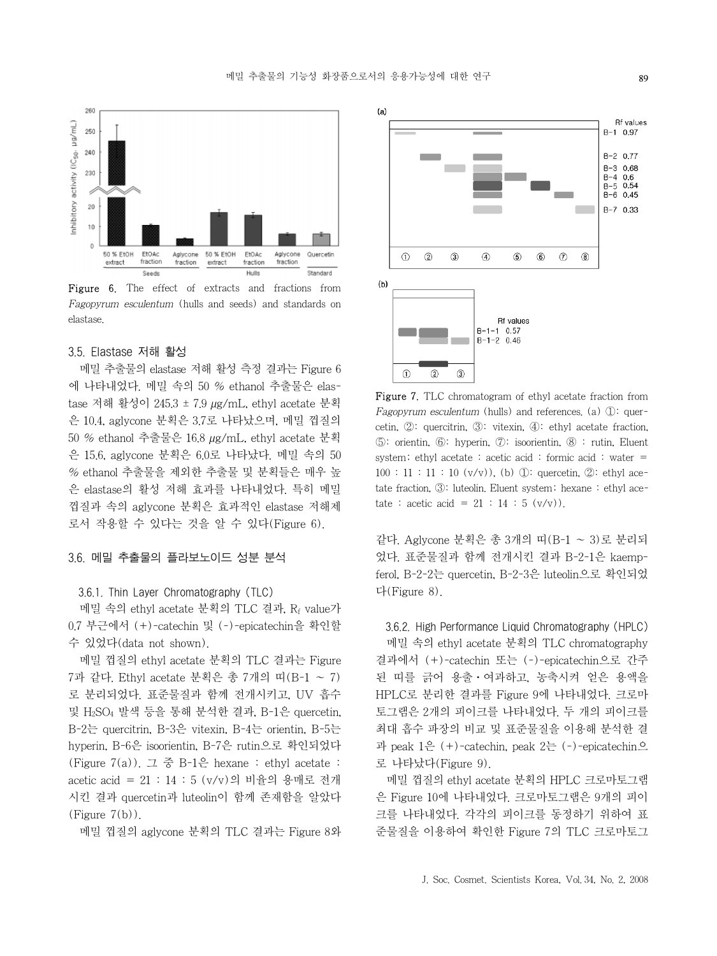

Figure 6. The effect of extracts and fractions from Fagopyrum esculentum (hulls and seeds) and standards on elastase.

### 3.5. Elastase 저해 활성

 메밀 추출물의 elastase 저해 활성 측정 결과는 Figure 6 에 나타내었다. 메밀 속의 50 % ethanol 추출물은 elastase 저해 활성이 245.3 ± 7.9 µg/mL, ethyl acetate 분획 은 10.4, aglycone 분획은 3.7로 나타났으며, 메밀 껍질의 50 % ethanol 추출물은 16.8 µg/mL, ethyl acetate 분획 은 15.6, aglycone 분획은 6.0로 나타났다. 메밀 속의 50 % ethanol 추출물을 제외한 추출물 및 분획들은 매우 높 은 elastase의 활성 저해 효과를 나타내었다. 특히 메밀 껍질과 속의 aglycone 분획은 효과적인 elastase 저해제 로서 작용할 수 있다는 것을 알 수 있다(Figure 6).

### 3.6. 메밀 추출물의 플라보노이드 성분 분석

#### 3.6.1. Thin Layer Chromatography (TLC)

 메밀 속의 ethyl acetate 분획의 TLC 결과, Rf value가 0.7 부근에서 (+)-catechin 및 (-)-epicatechin을 확인할 수 있었다(data not shown).

 메밀 껍질의 ethyl acetate 분획의 TLC 결과는 Figure 7과 같다. Ethyl acetate 분획은 총 7개의 띠(B-1 ~ 7) 로 분리되었다. 표준물질과 함께 전개시키고, UV 흡수 및 H2SO4 발색 등을 통해 분석한 결과, B-1은 quercetin, B-2는 quercitrin, B-3은 vitexin, B-4는 orientin, B-5는 hyperin, B-6은 isoorientin, B-7은 rutin으로 확인되었다 (Figure 7(a)). 그 중 B-1은 hexane : ethyl acetate : acetic acid = 21 : 14 : 5 (v/v)의 비율의 용매로 전개 시킨 결과 quercetin과 luteolin이 함께 존재함을 알았다  $(Figure 7(b))$ .

메밀 껍질의 aglycone 분획의 TLC 결과는 Figure 8와



Figure 7. TLC chromatogram of ethyl acetate fraction from Fagopyrum esculentum (hulls) and references. (a) ①: quercetin, ②: quercitrin, ③: vitexin, ④: ethyl acetate fraction, ⑤: orientin, ⑥: hyperin, ⑦: isoorientin, ⑧ : rutin, Eluent system; ethyl acetate : acetic acid : formic acid : water =  $100 : 11 : 11 : 10 \ (v/v)$ , (b)  $\mathbb{D}$ : quercetin,  $\mathbb{D}$ : ethyl acetate fraction, ③: luteolin. Eluent system; hexane : ethyl acetate : acetic acid =  $21 : 14 : 5 (v/v)$ .

같다. Aglycone 분획은 총 3개의 띠(B-1 ~ 3)로 분리되 었다. 표준물질과 함께 전개시킨 결과 B-2-1은 kaempferol, B-2-2는 quercetin, B-2-3은 luteolin으로 확인되었 다(Figure 8).

 3.6.2. High Performance Liquid Chromatography (HPLC) 메밀 속의 ethyl acetate 분획의 TLC chromatography 결과에서 (+)-catechin 또는 (-)-epicatechin으로 간주 된 띠를 긁어 용출ㆍ여과하고, 농축시켜 얻은 용액을 HPLC로 분리한 결과를 Figure 9에 나타내었다. 크로마 토그램은 2개의 피이크를 나타내었다. 두 개의 피이크를 최대 흡수 파장의 비교 및 표준물질을 이용해 분석한 결 과 peak 1은 (+)-catechin, peak 2는 (-)-epicatechin으 로 나타났다(Figure 9).

 메밀 껍질의 ethyl acetate 분획의 HPLC 크로마토그램 은 Figure 10에 나타내었다. 크로마토그램은 9개의 피이 크를 나타내었다. 각각의 피이크를 동정하기 위하여 표 준물질을 이용하여 확인한 Figure 7의 TLC 크로마토그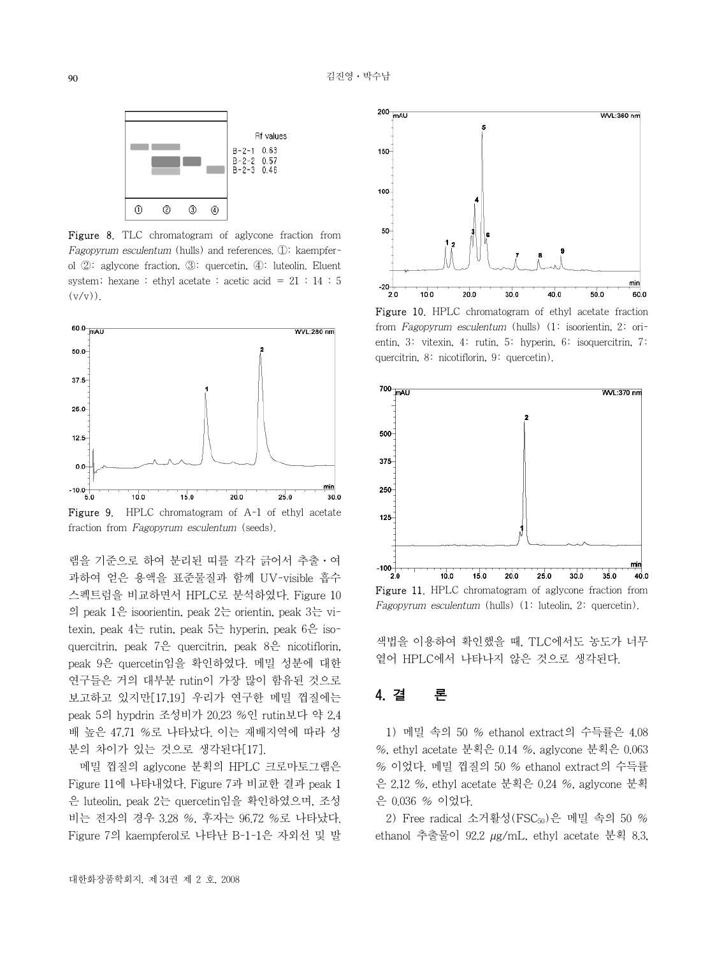

Figure 8. TLC chromatogram of aglycone fraction from Fagopyrum esculentum (hulls) and references. ①: kaempferol ②: aglycone fraction, ③: quercetin, ④: luteolin. Eluent system; hexane: ethyl acetate: acetic acid =  $21 : 14 : 5$  $(y/y)$ .



램을 기준으로 하여 분리된 띠를 각각 긁어서 추출ㆍ여 과하여 얻은 용액을 표준물질과 함께 UV-visible 흡수 스펙트럼을 비교하면서 HPLC로 분석하였다. Figure 10 의 peak 1은 isoorientin, peak 2는 orientin, peak 3는 vitexin, peak 4는 rutin, peak 5는 hyperin, peak 6은 isoquercitrin, peak 7은 quercitrin, peak 8은 nicotiflorin, peak 9은 quercetin임을 확인하였다. 메밀 성분에 대한 연구들은 거의 대부분 rutin이 가장 많이 함유된 것으로 보고하고 있지만[17,19] 우리가 연구한 메밀 껍질에는 peak 5의 hypdrin 조성비가 20.23 %인 rutin보다 약 2,4 배 높은 47.71 %로 나타났다. 이는 재배지역에 따라 성 분의 차이가 있는 것으로 생각된다[17].

 메밀 껍질의 aglycone 분획의 HPLC 크로마토그램은 Figure 11에 나타내었다. Figure 7과 비교한 결과 peak 1 은 luteolin, peak 2는 quercetin임을 확인하였으며, 조성 비는 전자의 경우 3.28 %, 후자는 96.72 %로 나타났다. Figure 7의 kaempferol로 나타난 B-1-1은 자외선 및 발



Figure 10. HPLC chromatogram of ethyl acetate fraction from Fagopyrum esculentum (hulls) (1: isoorientin, 2: orientin, 3: vitexin, 4: rutin, 5: hyperin, 6: isoquercitrin, 7: quercitrin, 8: nicotiflorin, 9: quercetin).



Figure 11. HPLC chromatogram of aglycone fraction from Fagopyrum esculentum (hulls) (1: luteolin, 2: quercetin).

색법을 이용하여 확인했을 때, TLC에서도 농도가 너무 옅어 HPLC에서 나타나지 않은 것으로 생각된다.

# 4. 결 론

 1) 메밀 속의 50 % ethanol extract의 수득률은 4.08 %, ethyl acetate 분획은 0.14 %, aglycone 분획은 0.063 % 이었다. 메밀 껍질의 50 % ethanol extract의 수득률 은 2.12 %, ethyl acetate 분획은 0.24 %, aglycone 분획 은 0.036 % 이었다.

 2) Free radical 소거활성(FSC50)은 메밀 속의 50 % ethanol 추출물이 92.2 µg/mL, ethyl acetate 분획 8.3,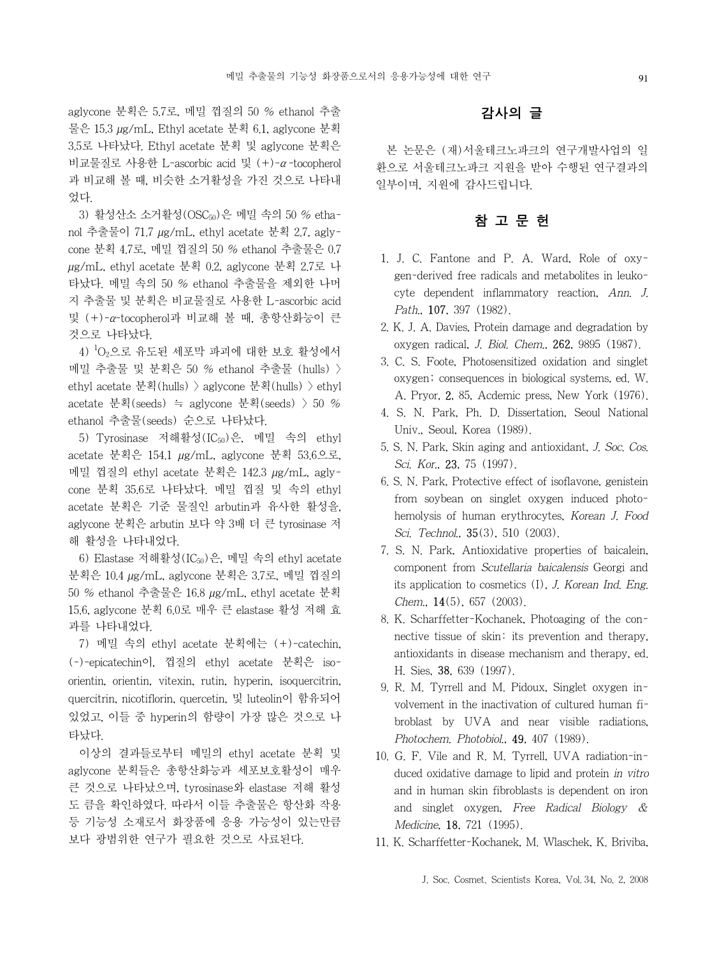aglycone 분획은 5.7로, 메밀 껍질의 50 % ethanol 추출 물은 15.3 µg/mL, Ethyl acetate 분획 6.1, aglycone 분획 3.5로 나타났다. Ethyl acetate 분획 및 aglycone 분획은 비교물질로 사용한 L-ascorbic acid 및 (+)-α-tocopherol 과 비교해 볼 때, 비슷한 소거활성을 가진 것으로 나타내 었다.

3) 활성산소 소거활성(OSC50)은 메밀 속의 50 % ethanol 추출물이 71.7 µg/mL, ethyl acetate 분획 2.7, aglycone 분획 4.7로, 메밀 껍질의 50 % ethanol 추출물은 0.7 µg/mL, ethyl acetate 분획 0.2, aglycone 분획 2.7로 나 타났다. 메밀 속의 50 % ethanol 추출물을 제외한 나머 지 추출물 및 분획은 비교물질로 사용한 L-ascorbic acid 및 (+)-α-tocopherol과 비교해 볼 때, 총항산화능이 큰 것으로 나타났다.

 4) 1 O2으로 유도된 세포막 파괴에 대한 보호 활성에서 메밀 추출물 및 분획은 50 % ethanol 추출물 (hulls) > ethyl acetate 분획(hulls) > aglycone 분획(hulls) > ethyl acetate 분획(seeds) ≒ aglycone 분획(seeds) > 50 % ethanol 추출물(seeds) 순으로 나타났다.

 5) Tyrosinase 저해활성(IC50)은, 메밀 속의 ethyl acetate 분획은 154.1 µg/mL, aglycone 분획 53.6으로, 메밀 껍질의 ethyl acetate 분획은 142.3 µg/mL, aglycone 분획 35.6로 나타났다. 메밀 껍질 및 속의 ethyl acetate 분획은 기준 물질인 arbutin과 유사한 활성을, aglycone 분획은 arbutin 보다 약 3배 더 큰 tyrosinase 저 해 활성을 나타내었다.

 6) Elastase 저해활성(IC50)은, 메밀 속의 ethyl acetate 분획은 10.4 µg/mL, aglycone 분획은 3.7로, 메밀 껍질의 50 % ethanol 추출물은 16.8 µg/mL, ethyl acetate 분획 15.6, aglycone 분획 6.0로 매우 큰 elastase 활성 저해 효 과를 나타내었다.

 7) 메밀 속의 ethyl acetate 분획에는 (+)-catechin, (-)-epicatechin이, 껍질의 ethyl acetate 분획은 isoorientin, orientin, vitexin, rutin, hyperin, isoquercitrin, quercitrin, nicotiflorin, quercetin, 및 luteolin이 함유되어 있었고, 이들 중 hyperin의 함량이 가장 많은 것으로 나 타났다.

 이상의 결과들로부터 메밀의 ethyl acetate 분획 및 aglycone 분획들은 총항산화능과 세포보호활성이 매우 큰 것으로 나타났으며, tyrosinase와 elastase 저해 활성 도 큼을 확인하였다. 따라서 이들 추출물은 항산화 작용 등 기능성 소재로서 화장품에 응용 가능성이 있는만큼 보다 광범위한 연구가 필요한 것으로 사료된다.

## 감사의 글

 본 논문은 (재)서울테크노파크의 연구개발사업의 일 환으로 서울테크노파크 지원을 받아 수행된 연구결과의 일부이며, 지원에 감사드립니다.

### 참 고 문 헌

- 1. J. C. Fantone and P. A. Ward, Role of oxygen-derived free radicals and metabolites in leukocyte dependent inflammatory reaction, Ann. J. Path., 107, 397 (1982).
- 2. K. J. A. Davies, Protein damage and degradation by oxygen radical, J. Biol. Chem., 262, 9895 (1987).
- 3. C. S. Foote, Photosensitized oxidation and singlet oxygen; consequences in biological systems, ed. W. A. Pryor, 2, 85, Acdemic press, New York (1976).
- 4. S. N. Park, Ph. D. Dissertation, Seoul National Univ., Seoul, Korea (1989).
- 5. S. N. Park, Skin aging and antioxidant, J. Soc. Cos. Sci. Kor., **23**, 75 (1997).
- 6. S. N. Park, Protective effect of isoflavone, genistein from soybean on singlet oxygen induced photohemolysis of human erythrocytes, Korean J. Food Sci. Technol., **35**(3), 510 (2003).
- 7. S. N. Park, Antioxidative properties of baicalein, component from Scutellaria baicalensis Georgi and its application to cosmetics (I), J. Korean Ind. Eng. Chem., 14(5), 657 (2003).
- 8. K. Scharffetter-Kochanek, Photoaging of the connective tissue of skin: its prevention and therapy, antioxidants in disease mechanism and therapy, ed. H. Sies, 38, 639 (1997).
- 9. R. M. Tyrrell and M. Pidoux, Singlet oxygen involvement in the inactivation of cultured human fibroblast by UVA and near visible radiations, Photochem. Photobiol., 49, 407 (1989).
- 10. G. F. Vile and R. M. Tyrrell, UVA radiation-induced oxidative damage to lipid and protein in vitro and in human skin fibroblasts is dependent on iron and singlet oxygen, Free Radical Biology & Medicine, 18, 721 (1995).
- 11. K. Scharffetter-Kochanek, M. Wlaschek, K. Briviba,